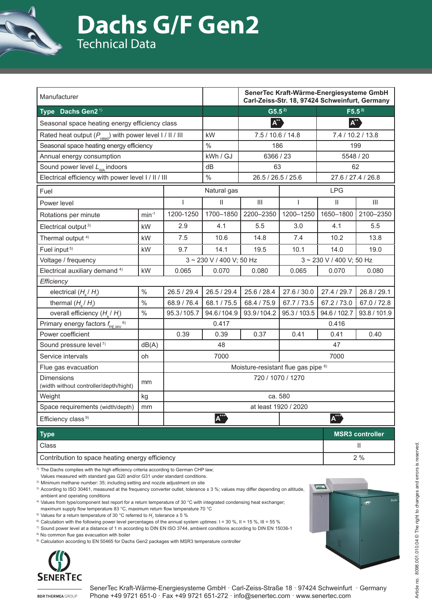

# **Dachs G/F Gen2** Technical Data

| Manufacturer                                                          |               |                                             |               | SenerTec Kraft-Wärme-Energiesysteme GmbH<br>Carl-Zeiss-Str. 18, 97424 Schweinfurt, Germany |                        |                            |                    |  |
|-----------------------------------------------------------------------|---------------|---------------------------------------------|---------------|--------------------------------------------------------------------------------------------|------------------------|----------------------------|--------------------|--|
| Type Dachs Gen2 <sup>1)</sup>                                         |               |                                             |               | $G5.5^{2}$                                                                                 |                        | $F5.5^{2}$                 |                    |  |
| Seasonal space heating energy efficiency class                        |               |                                             |               | $A^{\text{++}}$                                                                            |                        | $A^{**}$                   |                    |  |
| Rated heat output $(P_{\text{rate}})$ with power level $1 / 11 / 111$ |               |                                             | kW            | 7.5 / 10.6 / 14.8                                                                          |                        | 7.4 / 10.2 / 13.8          |                    |  |
| Seasonal space heating energy efficiency                              |               |                                             | $\frac{0}{0}$ | 186                                                                                        |                        | 199                        |                    |  |
| Annual energy consumption                                             |               |                                             | kWh / GJ      | 6366 / 23                                                                                  |                        | 5548 / 20                  |                    |  |
| Sound power level $L_{WA}$ indoors                                    |               |                                             | dВ            | 63                                                                                         |                        | 62                         |                    |  |
| Electrical efficiency with power level I / II / III                   |               |                                             | $\frac{0}{0}$ | 26.5 / 26.5 / 25.6                                                                         |                        | 27.6 / 27.4 / 26.8         |                    |  |
| Fuel                                                                  |               | Natural gas                                 |               | <b>LPG</b>                                                                                 |                        |                            |                    |  |
| Power level                                                           |               | $\overline{\phantom{a}}$                    | $\mathsf{II}$ | $\mathop{\mathsf{III}}\nolimits$                                                           | $\mathbf{I}$           | $\mathop{\rm II}\nolimits$ | $\mathop{\rm III}$ |  |
| Rotations per minute                                                  | $min-1$       | 1200-1250                                   | 1700-1850     | 2200-2350                                                                                  | 1200-1250              | 1650-1800                  | 2100-2350          |  |
| Electrical output <sup>3)</sup>                                       | kW            | 2.9                                         | 4.1           | 5.5                                                                                        | 3.0                    | 4.1                        | 5.5                |  |
| Thermal output <sup>4)</sup>                                          | kW            | 7.5                                         | 10.6          | 14.8                                                                                       | 7.4                    | 10.2                       | 13.8               |  |
| Fuel input <sup>5)</sup>                                              | kW            | 9.7                                         | 14.1          | 19.5                                                                                       | 10.1                   | 14.0                       | 19.0               |  |
| Voltage / frequency                                                   |               | 3~230 V / 400 V; 50 Hz                      |               |                                                                                            | 3~230 V / 400 V; 50 Hz |                            |                    |  |
| Electrical auxiliary demand <sup>4)</sup>                             | kW            | 0.065                                       | 0.070         | 0.080                                                                                      | 0.065                  | 0.070                      | 0.080              |  |
| Efficiency                                                            |               |                                             |               |                                                                                            |                        |                            |                    |  |
| electrical $(H_s/H_i)$                                                | $\frac{0}{0}$ | 26.5 / 29.4                                 | 26.5 / 29.4   | 25.6 / 28.4                                                                                | 27.6 / 30.0            | 27.4 / 29.7                | 26.8 / 29.1        |  |
| thermal $(H_s/H_i)$                                                   | $\frac{0}{0}$ | 68.9 / 76.4                                 | 68.1/75.5     | 68.4 / 75.9                                                                                | 67.7 / 73.5            | 67.2 / 73.0                | 67.0 / 72.8        |  |
| overall efficiency $(H_1/H_1)$                                        | $\frac{0}{0}$ | 95.3/105.7                                  | 94.6/104.9    | 93.9/104.2                                                                                 | 95.3 / 103.5           | 94.6 / 102.7               | 93.8 / 101.9       |  |
| Primary energy factors $f_{\text{PE,WV}}^{6}$                         |               | 0.417<br>0.416                              |               |                                                                                            |                        |                            |                    |  |
| Power coefficient                                                     |               | 0.39                                        | 0.39          | 0.37                                                                                       | 0.41                   | 0.41                       | 0.40               |  |
| Sound pressure level <sup>7)</sup>                                    | dB(A)         | 48                                          |               |                                                                                            | 47                     |                            |                    |  |
| Service intervals                                                     | oh            | 7000<br>7000                                |               |                                                                                            |                        |                            |                    |  |
| Flue gas evacuation                                                   |               | Moisture-resistant flue gas pipe 8)         |               |                                                                                            |                        |                            |                    |  |
| <b>Dimensions</b><br>(width without controller/depth/hight)           | mm            | 720 / 1070 / 1270                           |               |                                                                                            |                        |                            |                    |  |
| Weight                                                                | kg            | ca. 580                                     |               |                                                                                            |                        |                            |                    |  |
| Space requirements (width/depth)                                      | mm            | at least 1920 / 2020                        |               |                                                                                            |                        |                            |                    |  |
| Efficiency class <sup>9)</sup>                                        |               | $A^{\text{***}}$<br>${\boldsymbol A}^{***}$ |               |                                                                                            |                        |                            |                    |  |
|                                                                       |               |                                             |               |                                                                                            |                        |                            |                    |  |

| <b>Type</b>                                     | <b>MSR3 controller</b> |
|-------------------------------------------------|------------------------|
| Class                                           |                        |
| Contribution to space heating energy efficiency | 2%                     |

<sup>1)</sup> The Dachs complies with the high efficiency criteria according to German CHP law;

Values measured with standard gas G20 and/or G31 under standard conditions.

<sup>2)</sup> Minimum methane number: 35; including setting and nozzle adjustment on site

3) According to ISO 30461, measured at the frequency converter outlet, tolerance ± 3 %; values may differ depending on altitude, ambient and operating conditions

4) Values from type/component test report for a return temperature of 30 °C with integrated condensing heat exchanger; maximum supply flow temperature 83 °C, maximum return flow temperature 70 °C

 $^{5)}$  Values for a return temperature of 30  $^{\circ}$ C referred to  $H_{\shortmid}$ , tolerance  $\pm$  5  $\%$ 

 $\degree$  Calculation with the following power level percentages of the annual system uptimes:  $I = 30\%$ ,  $II = 15\%$ ,  $III = 55\%$ 

7) Sound power level at a distance of 1 m according to DIN EN ISO 3744, ambient conditions according to DIN EN 15036-1

8) No common flue gas evacuation with boiler

<sup>9)</sup> Calculation according to EN 50465 for Dachs Gen2 packages with MSR3 temperature controller